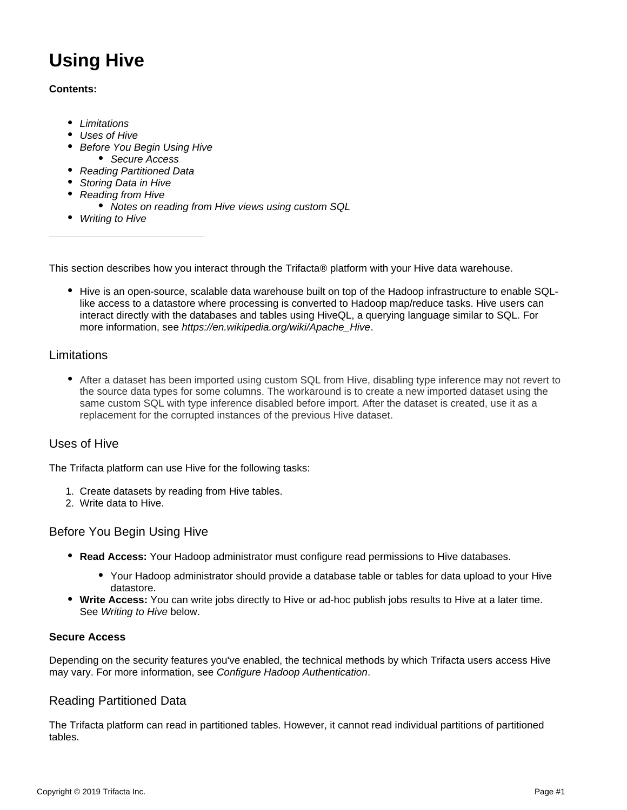# **Using Hive**

#### **Contents:**

- [Limitations](#page-0-0)
- [Uses of Hive](#page-0-1)
- **[Before You Begin Using Hive](#page-0-2)** 
	- [Secure Access](#page-0-3)
- [Reading Partitioned Data](#page-0-4)
- [Storing Data in Hive](#page-1-0)
- [Reading from Hive](#page-1-1)
	- [Notes on reading from Hive views using custom SQL](#page-1-2)
- [Writing to Hive](#page-1-3)

This section describes how you interact through the Trifacta® platform with your Hive data warehouse.

• Hive is an open-source, scalable data warehouse built on top of the Hadoop infrastructure to enable SQLlike access to a datastore where processing is converted to Hadoop map/reduce tasks. Hive users can interact directly with the databases and tables using HiveQL, a querying language similar to SQL. For more information, see [https://en.wikipedia.org/wiki/Apache\\_Hive](https://en.wikipedia.org/wiki/Apache_Hive).

# <span id="page-0-0"></span>Limitations

After a dataset has been imported using custom SQL from Hive, disabling type inference may not revert to the source data types for some columns. The workaround is to create a new imported dataset using the same custom SQL with type inference disabled before import. After the dataset is created, use it as a replacement for the corrupted instances of the previous Hive dataset.

# <span id="page-0-1"></span>Uses of Hive

The Trifacta platform can use Hive for the following tasks:

- 1. Create datasets by reading from Hive tables.
- 2. Write data to Hive.

# <span id="page-0-2"></span>Before You Begin Using Hive

- **Read Access:** Your Hadoop administrator must configure read permissions to Hive databases.
	- Your Hadoop administrator should provide a database table or tables for data upload to your Hive datastore.
- **Write Access:** You can write jobs directly to Hive or ad-hoc publish jobs results to Hive at a later time. See [Writing to Hive](#page-1-3) below.

#### <span id="page-0-3"></span>**Secure Access**

Depending on the security features you've enabled, the technical methods by which Trifacta users access Hive may vary. For more information, see [Configure Hadoop Authentication](https://docs.trifacta.com/display/r060/Configure+Hadoop+Authentication).

# <span id="page-0-4"></span>Reading Partitioned Data

The Trifacta platform can read in partitioned tables. However, it cannot read individual partitions of partitioned tables.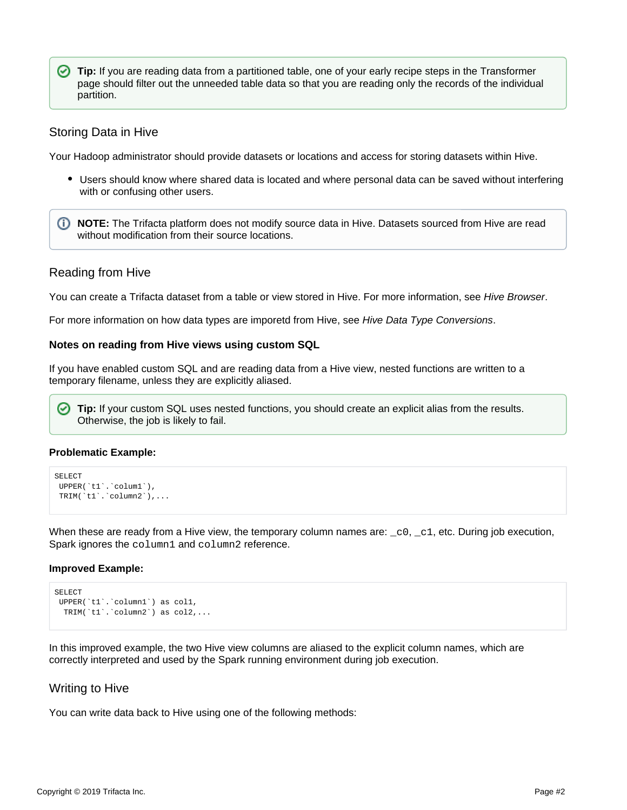**Tip:** If you are reading data from a partitioned table, one of your early recipe steps in the Transformer page should filter out the unneeded table data so that you are reading only the records of the individual partition.

#### <span id="page-1-0"></span>Storing Data in Hive

Your Hadoop administrator should provide datasets or locations and access for storing datasets within Hive.

Users should know where shared data is located and where personal data can be saved without interfering with or confusing other users.

**NOTE:** The Trifacta platform does not modify source data in Hive. Datasets sourced from Hive are read without modification from their source locations.

#### <span id="page-1-1"></span>Reading from Hive

You can create a Trifacta dataset from a table or view stored in Hive. For more information, see [Hive Browser](https://docs.trifacta.com/display/r060/Hive+Browser).

For more information on how data types are imporetd from Hive, see [Hive Data Type Conversions](https://docs.trifacta.com/display/r060/Hive+Data+Type+Conversions).

#### <span id="page-1-2"></span>**Notes on reading from Hive views using custom SQL**

If you have enabled custom SQL and are reading data from a Hive view, nested functions are written to a temporary filename, unless they are explicitly aliased.

**Tip:** If your custom SQL uses nested functions, you should create an explicit alias from the results. ☑ Otherwise, the job is likely to fail.

#### **Problematic Example:**

```
SELECT
UPPER(`t1`.`colum1`),
TRIM(`t1`.`column2`),...
```
When these are ready from a Hive view, the temporary column names are:  $\text{\_c0}, \text{\_c1}, \text{etc. During job execution}$ , Spark ignores the column1 and column2 reference.

#### **Improved Example:**

```
SELECT
UPPER(`t1`.`column1`) as col1,
 TRIM(`t1`.`column2`) as col2,...
```
In this improved example, the two Hive view columns are aliased to the explicit column names, which are correctly interpreted and used by the Spark running environment during job execution.

#### <span id="page-1-3"></span>Writing to Hive

You can write data back to Hive using one of the following methods: